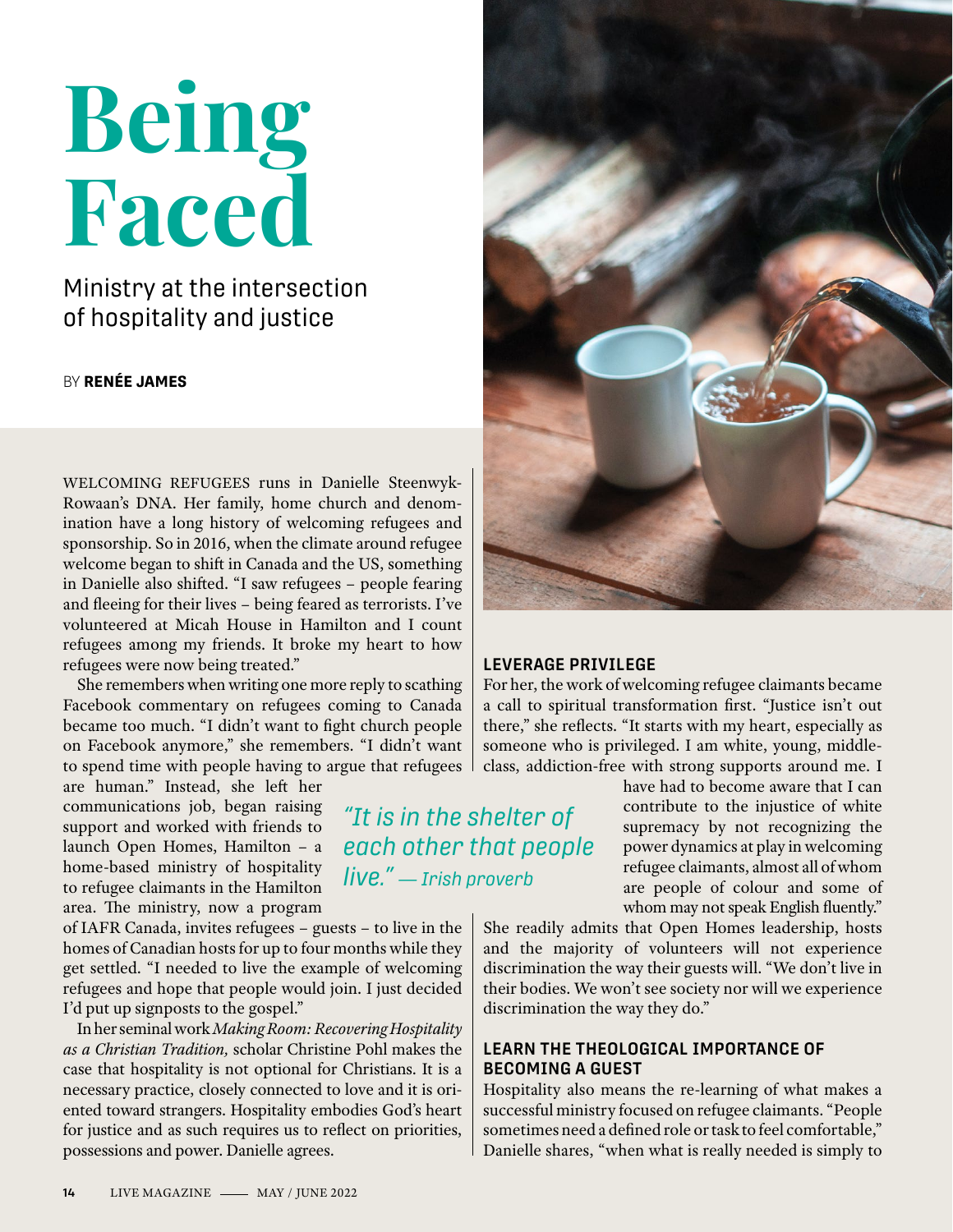# **Being Faced**

## Ministry at the intersection of hospitality and justice

BY **RENÉE JAMES**

WELCOMING REFUGEES runs in Danielle Steenwyk-Rowaan's DNA. Her family, home church and denomination have a long history of welcoming refugees and sponsorship. So in 2016, when the climate around refugee welcome began to shift in Canada and the US, something in Danielle also shifted. "I saw refugees – people fearing and fleeing for their lives – being feared as terrorists. I've volunteered at Micah House in Hamilton and I count refugees among my friends. It broke my heart to how refugees were now being treated."

She remembers when writing one more reply to scathing Facebook commentary on refugees coming to Canada became too much. "I didn't want to fight church people on Facebook anymore," she remembers. "I didn't want to spend time with people having to argue that refugees

are human." Instead, she left her communications job, began raising support and worked with friends to launch Open Homes, Hamilton – a home-based ministry of hospitality to refugee claimants in the Hamilton area. The ministry, now a program

of IAFR Canada, invites refugees – guests – to live in the homes of Canadian hosts for up to four months while they get settled. "I needed to live the example of welcoming refugees and hope that people would join. I just decided I'd put up signposts to the gospel."

In her seminal work *Making Room: Recovering Hospitality as a Christian Tradition,* scholar Christine Pohl makes the case that hospitality is not optional for Christians. It is a necessary practice, closely connected to love and it is oriented toward strangers. Hospitality embodies God's heart for justice and as such requires us to reflect on priorities, possessions and power. Danielle agrees.



### **LEVERAGE PRIVILEGE**

For her, the work of welcoming refugee claimants became a call to spiritual transformation first. "Justice isn't out there," she reflects. "It starts with my heart, especially as someone who is privileged. I am white, young, middleclass, addiction-free with strong supports around me. I

*"It is in the shelter of each other that people live." — Irish proverb*

have had to become aware that I can contribute to the injustice of white supremacy by not recognizing the power dynamics at play in welcoming refugee claimants, almost all of whom are people of colour and some of whom may not speak English fluently."

She readily admits that Open Homes leadership, hosts and the majority of volunteers will not experience discrimination the way their guests will. "We don't live in their bodies. We won't see society nor will we experience discrimination the way they do."

### **LEARN THE THEOLOGICAL IMPORTANCE OF BECOMING A GUEST**

Hospitality also means the re-learning of what makes a successful ministry focused on refugee claimants. "People sometimes need a defined role or task to feel comfortable," Danielle shares, "when what is really needed is simply to